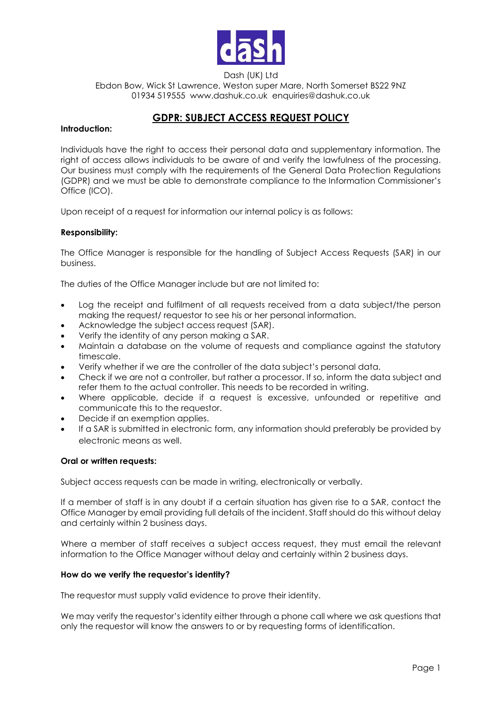

Dash (UK) Ltd Ebdon Bow, Wick St Lawrence, Weston super Mare, North Somerset BS22 9NZ 01934 519555 www.dashuk.co.uk enquiries@dashuk.co.uk

# **GDPR: SUBJECT ACCESS REQUEST POLICY**

### **Introduction:**

Individuals have the right to access their personal data and supplementary information. The right of access allows individuals to be aware of and verify the lawfulness of the processing. Our business must comply with the requirements of the General Data Protection Regulations (GDPR) and we must be able to demonstrate compliance to the Information Commissioner's Office (ICO).

Upon receipt of a request for information our internal policy is as follows:

# **Responsibility:**

The Office Manager is responsible for the handling of Subject Access Requests (SAR) in our business.

The duties of the Office Manager include but are not limited to:

- Log the receipt and fulfilment of all requests received from a data subject/the person making the request/ requestor to see his or her personal information.
- Acknowledge the subject access request (SAR).
- Verify the identity of any person making a SAR.
- Maintain a database on the volume of requests and compliance against the statutory timescale.
- Verify whether if we are the controller of the data subject's personal data.
- Check if we are not a controller, but rather a processor. If so, inform the data subject and refer them to the actual controller. This needs to be recorded in writing.
- Where applicable, decide if a request is excessive, unfounded or repetitive and communicate this to the requestor.
- Decide if an exemption applies.
- If a SAR is submitted in electronic form, any information should preferably be provided by electronic means as well.

# **Oral or written requests:**

Subject access requests can be made in writing, electronically or verbally.

If a member of staff is in any doubt if a certain situation has given rise to a SAR, contact the Office Manager by email providing full details of the incident. Staff should do this without delay and certainly within 2 business days.

Where a member of staff receives a subject access request, they must email the relevant information to the Office Manager without delay and certainly within 2 business days.

# **How do we verify the requestor's identity?**

The requestor must supply valid evidence to prove their identity.

We may verify the requestor's identity either through a phone call where we ask questions that only the requestor will know the answers to or by requesting forms of identification.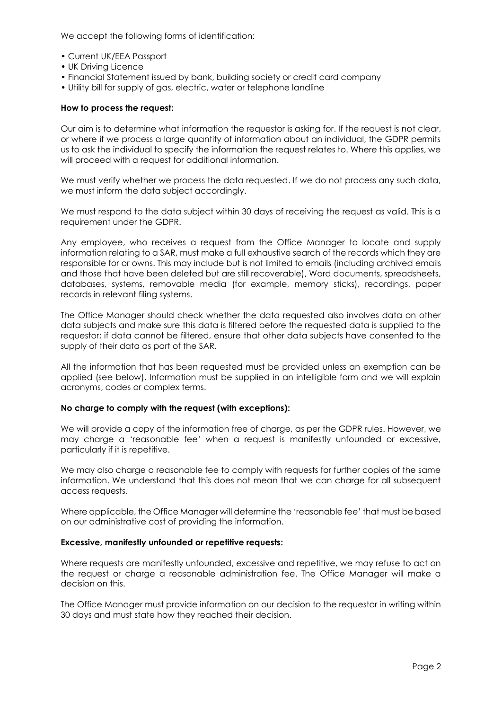We accept the following forms of identification:

- Current UK/EEA Passport
- UK Driving Licence
- Financial Statement issued by bank, building society or credit card company
- Utility bill for supply of gas, electric, water or telephone landline

#### **How to process the request:**

Our aim is to determine what information the requestor is asking for. If the request is not clear, or where if we process a large quantity of information about an individual, the GDPR permits us to ask the individual to specify the information the request relates to. Where this applies, we will proceed with a request for additional information.

We must verify whether we process the data requested. If we do not process any such data, we must inform the data subject accordingly.

We must respond to the data subject within 30 days of receiving the request as valid. This is a requirement under the GDPR.

Any employee, who receives a request from the Office Manager to locate and supply information relating to a SAR, must make a full exhaustive search of the records which they are responsible for or owns. This may include but is not limited to emails (including archived emails and those that have been deleted but are still recoverable), Word documents, spreadsheets, databases, systems, removable media (for example, memory sticks), recordings, paper records in relevant filing systems.

The Office Manager should check whether the data requested also involves data on other data subjects and make sure this data is filtered before the requested data is supplied to the requestor; if data cannot be filtered, ensure that other data subjects have consented to the supply of their data as part of the SAR.

All the information that has been requested must be provided unless an exemption can be applied (see below). Information must be supplied in an intelligible form and we will explain acronyms, codes or complex terms.

#### **No charge to comply with the request (with exceptions):**

We will provide a copy of the information free of charge, as per the GDPR rules. However, we may charge a 'reasonable fee' when a request is manifestly unfounded or excessive, particularly if it is repetitive.

We may also charge a reasonable fee to comply with requests for further copies of the same information. We understand that this does not mean that we can charge for all subsequent access requests.

Where applicable, the Office Manager will determine the 'reasonable fee' that must be based on our administrative cost of providing the information.

#### **Excessive, manifestly unfounded or repetitive requests:**

Where requests are manifestly unfounded, excessive and repetitive, we may refuse to act on the request or charge a reasonable administration fee. The Office Manager will make a decision on this.

The Office Manager must provide information on our decision to the requestor in writing within 30 days and must state how they reached their decision.